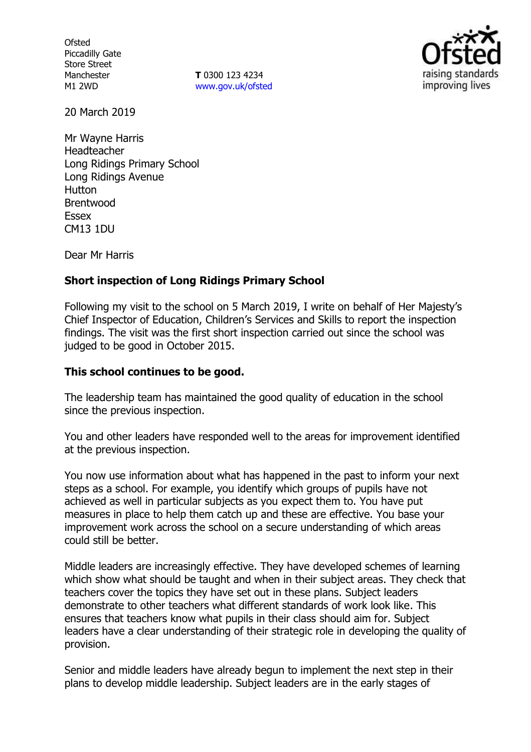**Ofsted** Piccadilly Gate Store Street Manchester M1 2WD

**T** 0300 123 4234 www.gov.uk/ofsted



20 March 2019

Mr Wayne Harris Headteacher Long Ridings Primary School Long Ridings Avenue Hutton Brentwood Essex CM13 1DU

Dear Mr Harris

### **Short inspection of Long Ridings Primary School**

Following my visit to the school on 5 March 2019, I write on behalf of Her Majesty's Chief Inspector of Education, Children's Services and Skills to report the inspection findings. The visit was the first short inspection carried out since the school was judged to be good in October 2015.

## **This school continues to be good.**

The leadership team has maintained the good quality of education in the school since the previous inspection.

You and other leaders have responded well to the areas for improvement identified at the previous inspection.

You now use information about what has happened in the past to inform your next steps as a school. For example, you identify which groups of pupils have not achieved as well in particular subjects as you expect them to. You have put measures in place to help them catch up and these are effective. You base your improvement work across the school on a secure understanding of which areas could still be better.

Middle leaders are increasingly effective. They have developed schemes of learning which show what should be taught and when in their subject areas. They check that teachers cover the topics they have set out in these plans. Subject leaders demonstrate to other teachers what different standards of work look like. This ensures that teachers know what pupils in their class should aim for. Subject leaders have a clear understanding of their strategic role in developing the quality of provision.

Senior and middle leaders have already begun to implement the next step in their plans to develop middle leadership. Subject leaders are in the early stages of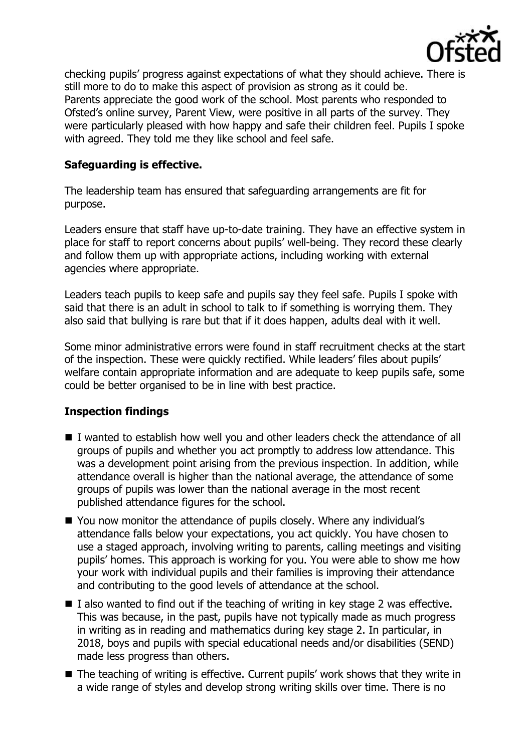

checking pupils' progress against expectations of what they should achieve. There is still more to do to make this aspect of provision as strong as it could be. Parents appreciate the good work of the school. Most parents who responded to Ofsted's online survey, Parent View, were positive in all parts of the survey. They were particularly pleased with how happy and safe their children feel. Pupils I spoke with agreed. They told me they like school and feel safe.

## **Safeguarding is effective.**

The leadership team has ensured that safeguarding arrangements are fit for purpose.

Leaders ensure that staff have up-to-date training. They have an effective system in place for staff to report concerns about pupils' well-being. They record these clearly and follow them up with appropriate actions, including working with external agencies where appropriate.

Leaders teach pupils to keep safe and pupils say they feel safe. Pupils I spoke with said that there is an adult in school to talk to if something is worrying them. They also said that bullying is rare but that if it does happen, adults deal with it well.

Some minor administrative errors were found in staff recruitment checks at the start of the inspection. These were quickly rectified. While leaders' files about pupils' welfare contain appropriate information and are adequate to keep pupils safe, some could be better organised to be in line with best practice.

### **Inspection findings**

- I wanted to establish how well you and other leaders check the attendance of all groups of pupils and whether you act promptly to address low attendance. This was a development point arising from the previous inspection. In addition, while attendance overall is higher than the national average, the attendance of some groups of pupils was lower than the national average in the most recent published attendance figures for the school.
- You now monitor the attendance of pupils closely. Where any individual's attendance falls below your expectations, you act quickly. You have chosen to use a staged approach, involving writing to parents, calling meetings and visiting pupils' homes. This approach is working for you. You were able to show me how your work with individual pupils and their families is improving their attendance and contributing to the good levels of attendance at the school.
- $\blacksquare$  I also wanted to find out if the teaching of writing in key stage 2 was effective. This was because, in the past, pupils have not typically made as much progress in writing as in reading and mathematics during key stage 2. In particular, in 2018, boys and pupils with special educational needs and/or disabilities (SEND) made less progress than others.
- The teaching of writing is effective. Current pupils' work shows that they write in a wide range of styles and develop strong writing skills over time. There is no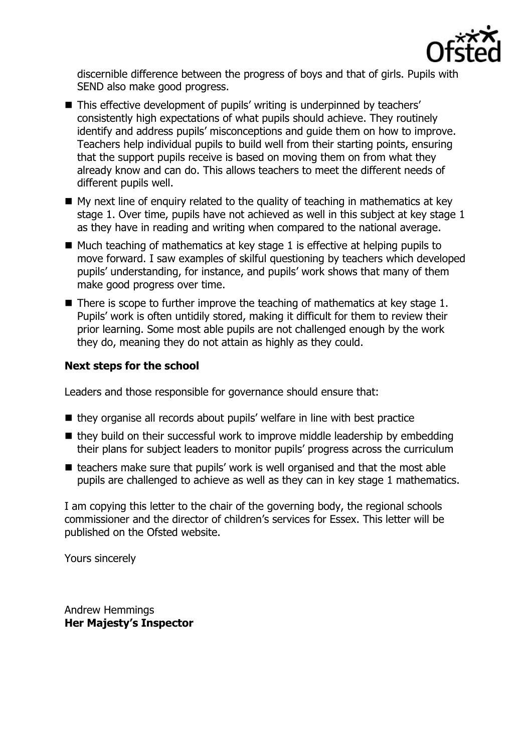

discernible difference between the progress of boys and that of girls. Pupils with SEND also make good progress.

- This effective development of pupils' writing is underpinned by teachers' consistently high expectations of what pupils should achieve. They routinely identify and address pupils' misconceptions and guide them on how to improve. Teachers help individual pupils to build well from their starting points, ensuring that the support pupils receive is based on moving them on from what they already know and can do. This allows teachers to meet the different needs of different pupils well.
- $\blacksquare$  My next line of enquiry related to the quality of teaching in mathematics at key stage 1. Over time, pupils have not achieved as well in this subject at key stage 1 as they have in reading and writing when compared to the national average.
- $\blacksquare$  Much teaching of mathematics at key stage 1 is effective at helping pupils to move forward. I saw examples of skilful questioning by teachers which developed pupils' understanding, for instance, and pupils' work shows that many of them make good progress over time.
- $\blacksquare$  There is scope to further improve the teaching of mathematics at key stage 1. Pupils' work is often untidily stored, making it difficult for them to review their prior learning. Some most able pupils are not challenged enough by the work they do, meaning they do not attain as highly as they could.

# **Next steps for the school**

Leaders and those responsible for governance should ensure that:

- they organise all records about pupils' welfare in line with best practice
- $\blacksquare$  they build on their successful work to improve middle leadership by embedding their plans for subject leaders to monitor pupils' progress across the curriculum
- teachers make sure that pupils' work is well organised and that the most able pupils are challenged to achieve as well as they can in key stage 1 mathematics.

I am copying this letter to the chair of the governing body, the regional schools commissioner and the director of children's services for Essex. This letter will be published on the Ofsted website.

Yours sincerely

Andrew Hemmings **Her Majesty's Inspector**